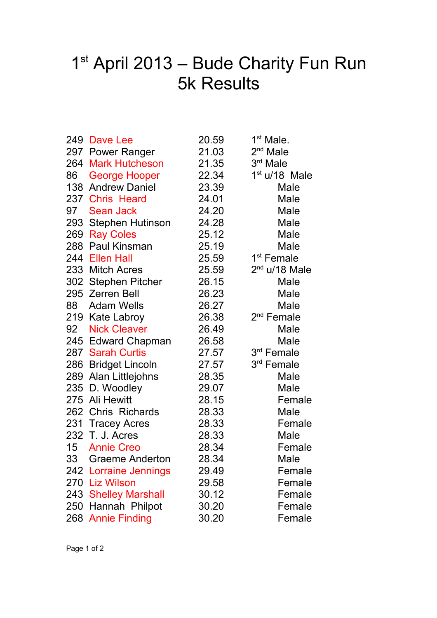## 1<sup>st</sup> April 2013 – Bude Charity Fun Run 5k Results

|     | 249 Dave Lee           | 20.59 | 1 <sup>st</sup> Male.  |
|-----|------------------------|-------|------------------------|
|     | 297 Power Ranger       | 21.03 | $2nd$ Male             |
|     | 264 Mark Hutcheson     | 21.35 | 3rd Male               |
|     | 86 George Hooper       | 22.34 | $1st$ u/18 Male        |
|     | 138 Andrew Daniel      | 23.39 | Male                   |
|     | 237 Chris Heard        | 24.01 | Male                   |
|     | 97 Sean Jack           | 24.20 | Male                   |
|     | 293 Stephen Hutinson   | 24.28 | Male                   |
|     | 269 Ray Coles          | 25.12 | Male                   |
|     | 288 Paul Kinsman       | 25.19 | Male                   |
|     | 244 Ellen Hall         | 25.59 | 1 <sup>st</sup> Female |
|     | 233 Mitch Acres        | 25.59 | $2nd$ u/18 Male        |
|     | 302 Stephen Pitcher    | 26.15 | Male                   |
|     | 295 Zerren Bell        | 26.23 | Male                   |
|     | 88 Adam Wells          | 26.27 | Male                   |
|     | 219 Kate Labroy        | 26.38 | 2 <sup>nd</sup> Female |
| 92  | <b>Nick Cleaver</b>    | 26.49 | Male                   |
|     | 245 Edward Chapman     | 26.58 | Male                   |
|     | 287 Sarah Curtis       | 27.57 | 3rd Female             |
|     | 286 Bridget Lincoln    | 27.57 | 3rd Female             |
|     | 289 Alan Littlejohns   | 28.35 | Male                   |
|     | 235 D. Woodley         | 29.07 | Male                   |
|     | 275 Ali Hewitt         | 28.15 | Female                 |
|     | 262 Chris Richards     | 28.33 | Male                   |
|     | 231 Tracey Acres       | 28.33 | Female                 |
|     | 232 T. J. Acres        | 28.33 | Male                   |
|     | 15 Annie Creo          | 28.34 | Female                 |
| 33  | <b>Graeme Anderton</b> | 28.34 | Male                   |
|     | 242 Lorraine Jennings  | 29.49 | Female                 |
| 270 | Liz Wilson             | 29.58 | Female                 |
|     | 243 Shelley Marshall   | 30.12 | Female                 |
|     | 250 Hannah Philpot     | 30.20 | Female                 |
|     | 268 Annie Finding      | 30.20 | Female                 |